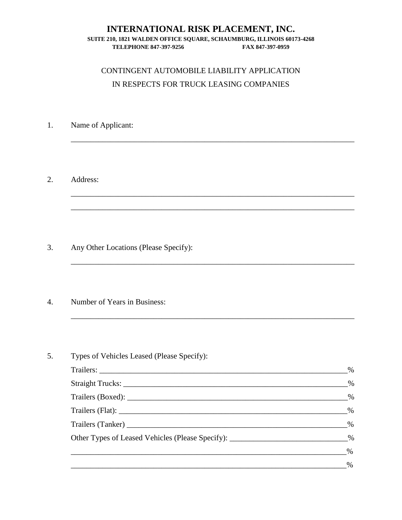### **INTERNATIONAL RISK PLACEMENT, INC.**

#### **SUITE 210, 1821 WALDEN OFFICE SQUARE, SCHAUMBURG, ILLINOIS 60173-4268 TELEPHONE 847-397-9256 FAX 847-397-0959**

### CONTINGENT AUTOMOBILE LIABILITY APPLICATION IN RESPECTS FOR TRUCK LEASING COMPANIES

\_\_\_\_\_\_\_\_\_\_\_\_\_\_\_\_\_\_\_\_\_\_\_\_\_\_\_\_\_\_\_\_\_\_\_\_\_\_\_\_\_\_\_\_\_\_\_\_\_\_\_\_\_\_\_\_\_\_\_\_\_\_\_\_\_\_\_\_\_\_\_\_

\_\_\_\_\_\_\_\_\_\_\_\_\_\_\_\_\_\_\_\_\_\_\_\_\_\_\_\_\_\_\_\_\_\_\_\_\_\_\_\_\_\_\_\_\_\_\_\_\_\_\_\_\_\_\_\_\_\_\_\_\_\_\_\_\_\_\_\_\_\_\_\_

\_\_\_\_\_\_\_\_\_\_\_\_\_\_\_\_\_\_\_\_\_\_\_\_\_\_\_\_\_\_\_\_\_\_\_\_\_\_\_\_\_\_\_\_\_\_\_\_\_\_\_\_\_\_\_\_\_\_\_\_\_\_\_\_\_\_\_\_\_\_\_\_

\_\_\_\_\_\_\_\_\_\_\_\_\_\_\_\_\_\_\_\_\_\_\_\_\_\_\_\_\_\_\_\_\_\_\_\_\_\_\_\_\_\_\_\_\_\_\_\_\_\_\_\_\_\_\_\_\_\_\_\_\_\_\_\_\_\_\_\_\_\_\_\_

\_\_\_\_\_\_\_\_\_\_\_\_\_\_\_\_\_\_\_\_\_\_\_\_\_\_\_\_\_\_\_\_\_\_\_\_\_\_\_\_\_\_\_\_\_\_\_\_\_\_\_\_\_\_\_\_\_\_\_\_\_\_\_\_\_\_\_\_\_\_\_\_

- 1. Name of Applicant:
- 2. Address:

- 3. Any Other Locations (Please Specify):
- 4. Number of Years in Business:

| Types of Vehicles Leased (Please Specify):                                    |      |
|-------------------------------------------------------------------------------|------|
|                                                                               | $\%$ |
| Straight Trucks:                                                              | $\%$ |
|                                                                               | $\%$ |
|                                                                               | $\%$ |
|                                                                               | $\%$ |
| Other Types of Leased Vehicles (Please Specify): ___________________________% |      |
|                                                                               | $\%$ |
|                                                                               | $\%$ |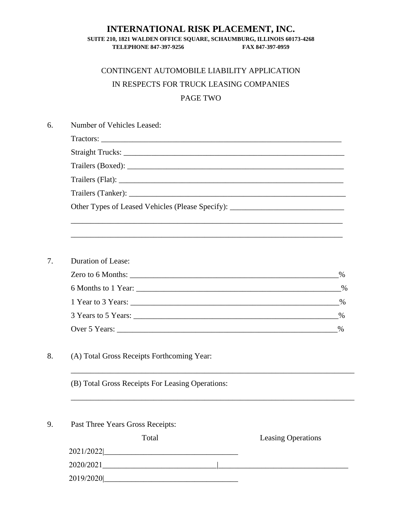### **INTERNATIONAL RISK PLACEMENT, INC.**

#### **SUITE 210, 1821 WALDEN OFFICE SQUARE, SCHAUMBURG, ILLINOIS 60173-4268 TELEPHONE 847-397-9256 FAX 847-397-0959**

# CONTINGENT AUTOMOBILE LIABILITY APPLICATION IN RESPECTS FOR TRUCK LEASING COMPANIES PAGE TWO

| Number of Vehicles Leased:                                                        |      |  |
|-----------------------------------------------------------------------------------|------|--|
|                                                                                   |      |  |
|                                                                                   |      |  |
|                                                                                   |      |  |
|                                                                                   |      |  |
|                                                                                   |      |  |
| Other Types of Leased Vehicles (Please Specify): ________________________________ |      |  |
|                                                                                   |      |  |
| <b>Duration of Lease:</b>                                                         |      |  |
|                                                                                   | $\%$ |  |
|                                                                                   | $\%$ |  |
|                                                                                   |      |  |
|                                                                                   | $\%$ |  |
|                                                                                   | %    |  |
| (A) Total Gross Receipts Forthcoming Year:                                        |      |  |
| (B) Total Gross Receipts For Leasing Operations:                                  |      |  |
| Past Three Years Gross Receipts:                                                  |      |  |
| Total<br><b>Leasing Operations</b>                                                |      |  |
| 2021/2022 2021/2022 2021/2022 2021/2022 2021                                      |      |  |
|                                                                                   |      |  |
|                                                                                   |      |  |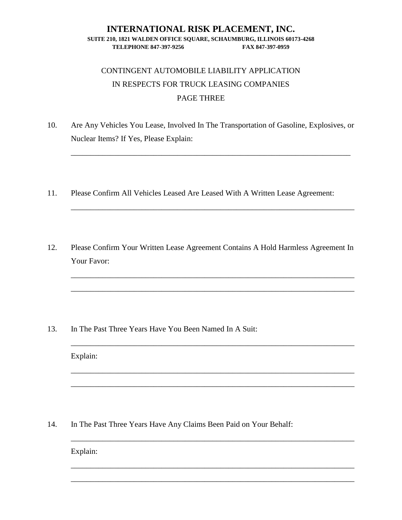### **INTERNATIONAL RISK PLACEMENT, INC. SUITE 210, 1821 WALDEN OFFICE SQUARE, SCHAUMBURG, ILLINOIS 60173-4268 TELEPHONE 847-397-9256 FAX 847-397-0959**

## CONTINGENT AUTOMOBILE LIABILITY APPLICATION IN RESPECTS FOR TRUCK LEASING COMPANIES PAGE THREE

10. Are Any Vehicles You Lease, Involved In The Transportation of Gasoline, Explosives, or Nuclear Items? If Yes, Please Explain:

\_\_\_\_\_\_\_\_\_\_\_\_\_\_\_\_\_\_\_\_\_\_\_\_\_\_\_\_\_\_\_\_\_\_\_\_\_\_\_\_\_\_\_\_\_\_\_\_\_\_\_\_\_\_\_\_\_\_\_\_\_\_\_\_\_\_\_\_\_\_\_

\_\_\_\_\_\_\_\_\_\_\_\_\_\_\_\_\_\_\_\_\_\_\_\_\_\_\_\_\_\_\_\_\_\_\_\_\_\_\_\_\_\_\_\_\_\_\_\_\_\_\_\_\_\_\_\_\_\_\_\_\_\_\_\_\_\_\_\_\_\_\_\_

\_\_\_\_\_\_\_\_\_\_\_\_\_\_\_\_\_\_\_\_\_\_\_\_\_\_\_\_\_\_\_\_\_\_\_\_\_\_\_\_\_\_\_\_\_\_\_\_\_\_\_\_\_\_\_\_\_\_\_\_\_\_\_\_\_\_\_\_\_\_\_\_

\_\_\_\_\_\_\_\_\_\_\_\_\_\_\_\_\_\_\_\_\_\_\_\_\_\_\_\_\_\_\_\_\_\_\_\_\_\_\_\_\_\_\_\_\_\_\_\_\_\_\_\_\_\_\_\_\_\_\_\_\_\_\_\_\_\_\_\_\_\_\_\_

\_\_\_\_\_\_\_\_\_\_\_\_\_\_\_\_\_\_\_\_\_\_\_\_\_\_\_\_\_\_\_\_\_\_\_\_\_\_\_\_\_\_\_\_\_\_\_\_\_\_\_\_\_\_\_\_\_\_\_\_\_\_\_\_\_\_\_\_\_\_\_\_

\_\_\_\_\_\_\_\_\_\_\_\_\_\_\_\_\_\_\_\_\_\_\_\_\_\_\_\_\_\_\_\_\_\_\_\_\_\_\_\_\_\_\_\_\_\_\_\_\_\_\_\_\_\_\_\_\_\_\_\_\_\_\_\_\_\_\_\_\_\_\_\_

\_\_\_\_\_\_\_\_\_\_\_\_\_\_\_\_\_\_\_\_\_\_\_\_\_\_\_\_\_\_\_\_\_\_\_\_\_\_\_\_\_\_\_\_\_\_\_\_\_\_\_\_\_\_\_\_\_\_\_\_\_\_\_\_\_\_\_\_\_\_\_\_

\_\_\_\_\_\_\_\_\_\_\_\_\_\_\_\_\_\_\_\_\_\_\_\_\_\_\_\_\_\_\_\_\_\_\_\_\_\_\_\_\_\_\_\_\_\_\_\_\_\_\_\_\_\_\_\_\_\_\_\_\_\_\_\_\_\_\_\_\_\_\_\_

\_\_\_\_\_\_\_\_\_\_\_\_\_\_\_\_\_\_\_\_\_\_\_\_\_\_\_\_\_\_\_\_\_\_\_\_\_\_\_\_\_\_\_\_\_\_\_\_\_\_\_\_\_\_\_\_\_\_\_\_\_\_\_\_\_\_\_\_\_\_\_\_

\_\_\_\_\_\_\_\_\_\_\_\_\_\_\_\_\_\_\_\_\_\_\_\_\_\_\_\_\_\_\_\_\_\_\_\_\_\_\_\_\_\_\_\_\_\_\_\_\_\_\_\_\_\_\_\_\_\_\_\_\_\_\_\_\_\_\_\_\_\_\_\_

- 11. Please Confirm All Vehicles Leased Are Leased With A Written Lease Agreement:
- 12. Please Confirm Your Written Lease Agreement Contains A Hold Harmless Agreement In Your Favor:

13. In The Past Three Years Have You Been Named In A Suit:

Explain:

14. In The Past Three Years Have Any Claims Been Paid on Your Behalf:

Explain: